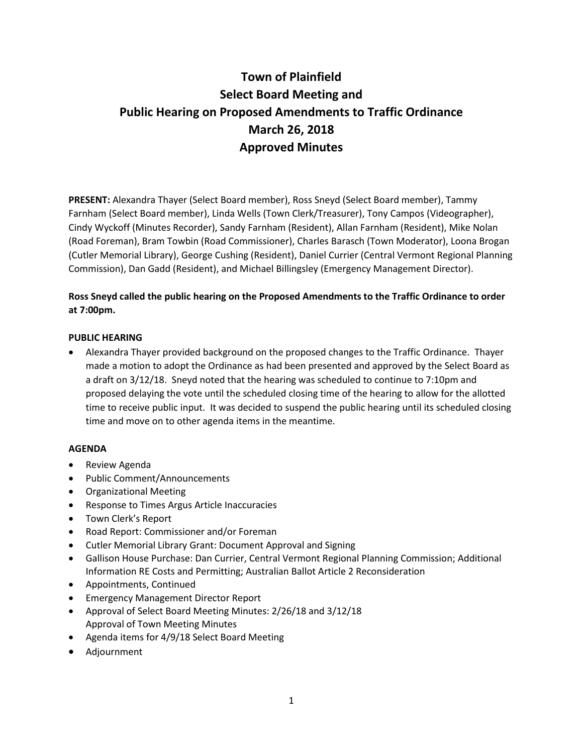# **Town of Plainfield Select Board Meeting and Public Hearing on Proposed Amendments to Traffic Ordinance March 26, 2018 Approved Minutes**

**PRESENT:** Alexandra Thayer (Select Board member), Ross Sneyd (Select Board member), Tammy Farnham (Select Board member), Linda Wells (Town Clerk/Treasurer), Tony Campos (Videographer), Cindy Wyckoff (Minutes Recorder), Sandy Farnham (Resident), Allan Farnham (Resident), Mike Nolan (Road Foreman), Bram Towbin (Road Commissioner), Charles Barasch (Town Moderator), Loona Brogan (Cutler Memorial Library), George Cushing (Resident), Daniel Currier (Central Vermont Regional Planning Commission), Dan Gadd (Resident), and Michael Billingsley (Emergency Management Director).

# **Ross Sneyd called the public hearing on the Proposed Amendments to the Traffic Ordinance to order at 7:00pm.**

## **PUBLIC HEARING**

 Alexandra Thayer provided background on the proposed changes to the Traffic Ordinance. Thayer made a motion to adopt the Ordinance as had been presented and approved by the Select Board as a draft on 3/12/18. Sneyd noted that the hearing was scheduled to continue to 7:10pm and proposed delaying the vote until the scheduled closing time of the hearing to allow for the allotted time to receive public input. It was decided to suspend the public hearing until its scheduled closing time and move on to other agenda items in the meantime.

## **AGENDA**

- Review Agenda
- Public Comment/Announcements
- Organizational Meeting
- Response to Times Argus Article Inaccuracies
- Town Clerk's Report
- Road Report: Commissioner and/or Foreman
- Cutler Memorial Library Grant: Document Approval and Signing
- Gallison House Purchase: Dan Currier, Central Vermont Regional Planning Commission; Additional Information RE Costs and Permitting; Australian Ballot Article 2 Reconsideration
- Appointments, Continued
- **•** Emergency Management Director Report
- Approval of Select Board Meeting Minutes: 2/26/18 and 3/12/18 Approval of Town Meeting Minutes
- Agenda items for 4/9/18 Select Board Meeting
- Adjournment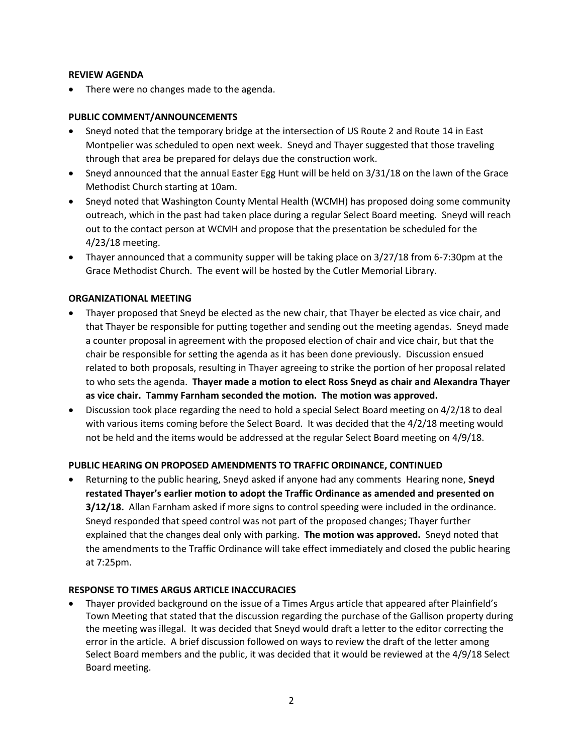## **REVIEW AGENDA**

There were no changes made to the agenda.

## **PUBLIC COMMENT/ANNOUNCEMENTS**

- Sneyd noted that the temporary bridge at the intersection of US Route 2 and Route 14 in East Montpelier was scheduled to open next week. Sneyd and Thayer suggested that those traveling through that area be prepared for delays due the construction work.
- Sneyd announced that the annual Easter Egg Hunt will be held on 3/31/18 on the lawn of the Grace Methodist Church starting at 10am.
- Sneyd noted that Washington County Mental Health (WCMH) has proposed doing some community outreach, which in the past had taken place during a regular Select Board meeting. Sneyd will reach out to the contact person at WCMH and propose that the presentation be scheduled for the 4/23/18 meeting.
- Thayer announced that a community supper will be taking place on 3/27/18 from 6-7:30pm at the Grace Methodist Church. The event will be hosted by the Cutler Memorial Library.

## **ORGANIZATIONAL MEETING**

- Thayer proposed that Sneyd be elected as the new chair, that Thayer be elected as vice chair, and that Thayer be responsible for putting together and sending out the meeting agendas. Sneyd made a counter proposal in agreement with the proposed election of chair and vice chair, but that the chair be responsible for setting the agenda as it has been done previously. Discussion ensued related to both proposals, resulting in Thayer agreeing to strike the portion of her proposal related to who sets the agenda. **Thayer made a motion to elect Ross Sneyd as chair and Alexandra Thayer as vice chair. Tammy Farnham seconded the motion. The motion was approved.**
- Discussion took place regarding the need to hold a special Select Board meeting on 4/2/18 to deal with various items coming before the Select Board. It was decided that the 4/2/18 meeting would not be held and the items would be addressed at the regular Select Board meeting on 4/9/18.

## **PUBLIC HEARING ON PROPOSED AMENDMENTS TO TRAFFIC ORDINANCE, CONTINUED**

 Returning to the public hearing, Sneyd asked if anyone had any comments Hearing none, **Sneyd restated Thayer's earlier motion to adopt the Traffic Ordinance as amended and presented on 3/12/18.** Allan Farnham asked if more signs to control speeding were included in the ordinance. Sneyd responded that speed control was not part of the proposed changes; Thayer further explained that the changes deal only with parking. **The motion was approved.** Sneyd noted that the amendments to the Traffic Ordinance will take effect immediately and closed the public hearing at 7:25pm.

## **RESPONSE TO TIMES ARGUS ARTICLE INACCURACIES**

 Thayer provided background on the issue of a Times Argus article that appeared after Plainfield's Town Meeting that stated that the discussion regarding the purchase of the Gallison property during the meeting was illegal. It was decided that Sneyd would draft a letter to the editor correcting the error in the article. A brief discussion followed on ways to review the draft of the letter among Select Board members and the public, it was decided that it would be reviewed at the 4/9/18 Select Board meeting.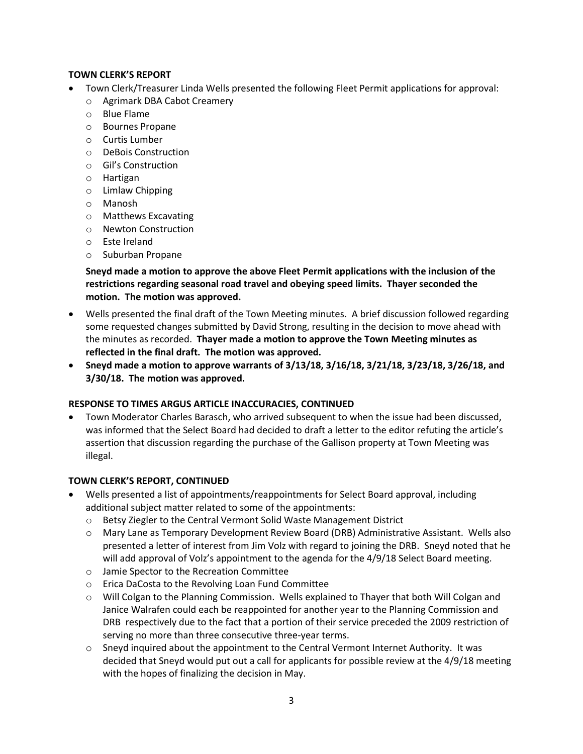## **TOWN CLERK'S REPORT**

- Town Clerk/Treasurer Linda Wells presented the following Fleet Permit applications for approval:
	- o Agrimark DBA Cabot Creamery
	- o Blue Flame
	- o Bournes Propane
	- o Curtis Lumber
	- o DeBois Construction
	- o Gil's Construction
	- o Hartigan
	- o Limlaw Chipping
	- o Manosh
	- o Matthews Excavating
	- o Newton Construction
	- o Este Ireland
	- o Suburban Propane

**Sneyd made a motion to approve the above Fleet Permit applications with the inclusion of the restrictions regarding seasonal road travel and obeying speed limits. Thayer seconded the motion. The motion was approved.** 

- Wells presented the final draft of the Town Meeting minutes. A brief discussion followed regarding some requested changes submitted by David Strong, resulting in the decision to move ahead with the minutes as recorded. **Thayer made a motion to approve the Town Meeting minutes as reflected in the final draft. The motion was approved.**
- **Sneyd made a motion to approve warrants of 3/13/18, 3/16/18, 3/21/18, 3/23/18, 3/26/18, and 3/30/18. The motion was approved.**

## **RESPONSE TO TIMES ARGUS ARTICLE INACCURACIES, CONTINUED**

 Town Moderator Charles Barasch, who arrived subsequent to when the issue had been discussed, was informed that the Select Board had decided to draft a letter to the editor refuting the article's assertion that discussion regarding the purchase of the Gallison property at Town Meeting was illegal.

## **TOWN CLERK'S REPORT, CONTINUED**

- Wells presented a list of appointments/reappointments for Select Board approval, including additional subject matter related to some of the appointments:
	- $\circ$  Betsy Ziegler to the Central Vermont Solid Waste Management District
	- o Mary Lane as Temporary Development Review Board (DRB) Administrative Assistant. Wells also presented a letter of interest from Jim Volz with regard to joining the DRB. Sneyd noted that he will add approval of Volz's appointment to the agenda for the 4/9/18 Select Board meeting.
	- o Jamie Spector to the Recreation Committee
	- o Erica DaCosta to the Revolving Loan Fund Committee
	- o Will Colgan to the Planning Commission. Wells explained to Thayer that both Will Colgan and Janice Walrafen could each be reappointed for another year to the Planning Commission and DRB respectively due to the fact that a portion of their service preceded the 2009 restriction of serving no more than three consecutive three-year terms.
	- $\circ$  Sneyd inquired about the appointment to the Central Vermont Internet Authority. It was decided that Sneyd would put out a call for applicants for possible review at the 4/9/18 meeting with the hopes of finalizing the decision in May.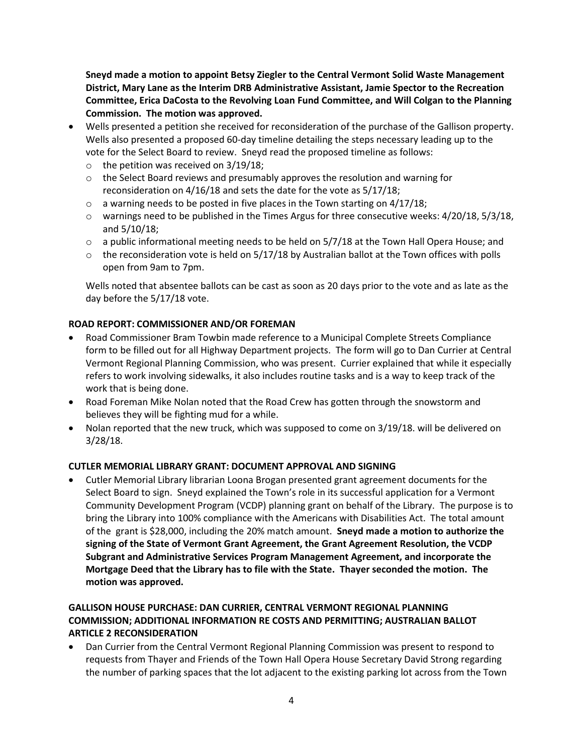**Sneyd made a motion to appoint Betsy Ziegler to the Central Vermont Solid Waste Management District, Mary Lane as the Interim DRB Administrative Assistant, Jamie Spector to the Recreation Committee, Erica DaCosta to the Revolving Loan Fund Committee, and Will Colgan to the Planning Commission. The motion was approved.**

- Wells presented a petition she received for reconsideration of the purchase of the Gallison property. Wells also presented a proposed 60-day timeline detailing the steps necessary leading up to the vote for the Select Board to review. Sneyd read the proposed timeline as follows:
	- $\circ$  the petition was received on 3/19/18;
	- $\circ$  the Select Board reviews and presumably approves the resolution and warning for reconsideration on 4/16/18 and sets the date for the vote as 5/17/18;
	- $\circ$  a warning needs to be posted in five places in the Town starting on 4/17/18;
	- o warnings need to be published in the Times Argus for three consecutive weeks: 4/20/18, 5/3/18, and 5/10/18;
	- $\circ$  a public informational meeting needs to be held on 5/7/18 at the Town Hall Opera House; and
	- $\circ$  the reconsideration vote is held on 5/17/18 by Australian ballot at the Town offices with polls open from 9am to 7pm.

Wells noted that absentee ballots can be cast as soon as 20 days prior to the vote and as late as the day before the 5/17/18 vote.

## **ROAD REPORT: COMMISSIONER AND/OR FOREMAN**

- Road Commissioner Bram Towbin made reference to a Municipal Complete Streets Compliance form to be filled out for all Highway Department projects. The form will go to Dan Currier at Central Vermont Regional Planning Commission, who was present. Currier explained that while it especially refers to work involving sidewalks, it also includes routine tasks and is a way to keep track of the work that is being done.
- Road Foreman Mike Nolan noted that the Road Crew has gotten through the snowstorm and believes they will be fighting mud for a while.
- Nolan reported that the new truck, which was supposed to come on 3/19/18. will be delivered on 3/28/18.

## **CUTLER MEMORIAL LIBRARY GRANT: DOCUMENT APPROVAL AND SIGNING**

 Cutler Memorial Library librarian Loona Brogan presented grant agreement documents for the Select Board to sign. Sneyd explained the Town's role in its successful application for a Vermont Community Development Program (VCDP) planning grant on behalf of the Library. The purpose is to bring the Library into 100% compliance with the Americans with Disabilities Act. The total amount of the grant is \$28,000, including the 20% match amount. **Sneyd made a motion to authorize the signing of the State of Vermont Grant Agreement, the Grant Agreement Resolution, the VCDP Subgrant and Administrative Services Program Management Agreement, and incorporate the Mortgage Deed that the Library has to file with the State. Thayer seconded the motion. The motion was approved.** 

# **GALLISON HOUSE PURCHASE: DAN CURRIER, CENTRAL VERMONT REGIONAL PLANNING COMMISSION; ADDITIONAL INFORMATION RE COSTS AND PERMITTING; AUSTRALIAN BALLOT ARTICLE 2 RECONSIDERATION**

 Dan Currier from the Central Vermont Regional Planning Commission was present to respond to requests from Thayer and Friends of the Town Hall Opera House Secretary David Strong regarding the number of parking spaces that the lot adjacent to the existing parking lot across from the Town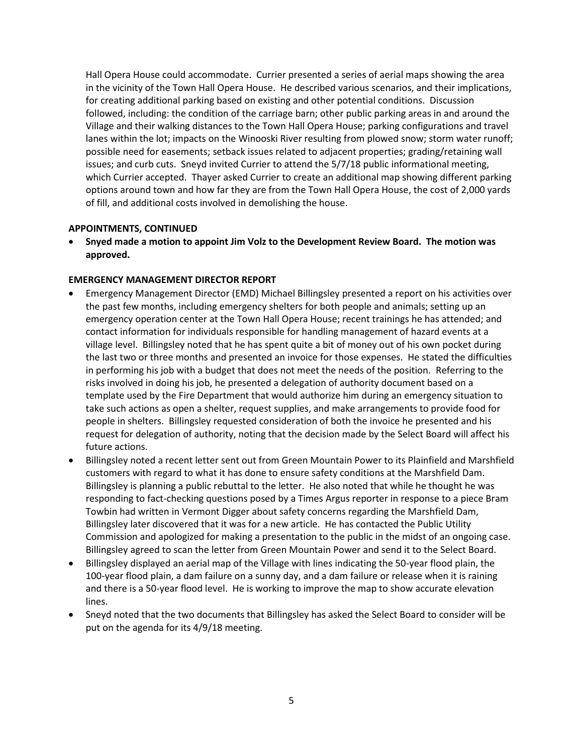Hall Opera House could accommodate. Currier presented a series of aerial maps showing the area in the vicinity of the Town Hall Opera House. He described various scenarios, and their implications, for creating additional parking based on existing and other potential conditions. Discussion followed, including: the condition of the carriage barn; other public parking areas in and around the Village and their walking distances to the Town Hall Opera House; parking configurations and travel lanes within the lot; impacts on the Winooski River resulting from plowed snow; storm water runoff; possible need for easements; setback issues related to adjacent properties; grading/retaining wall issues; and curb cuts. Sneyd invited Currier to attend the 5/7/18 public informational meeting, which Currier accepted. Thayer asked Currier to create an additional map showing different parking options around town and how far they are from the Town Hall Opera House, the cost of 2,000 yards of fill, and additional costs involved in demolishing the house.

## **APPOINTMENTS, CONTINUED**

 **Snyed made a motion to appoint Jim Volz to the Development Review Board. The motion was approved.**

## **EMERGENCY MANAGEMENT DIRECTOR REPORT**

- Emergency Management Director (EMD) Michael Billingsley presented a report on his activities over the past few months, including emergency shelters for both people and animals; setting up an emergency operation center at the Town Hall Opera House; recent trainings he has attended; and contact information for individuals responsible for handling management of hazard events at a village level. Billingsley noted that he has spent quite a bit of money out of his own pocket during the last two or three months and presented an invoice for those expenses. He stated the difficulties in performing his job with a budget that does not meet the needs of the position. Referring to the risks involved in doing his job, he presented a delegation of authority document based on a template used by the Fire Department that would authorize him during an emergency situation to take such actions as open a shelter, request supplies, and make arrangements to provide food for people in shelters. Billingsley requested consideration of both the invoice he presented and his request for delegation of authority, noting that the decision made by the Select Board will affect his future actions.
- Billingsley noted a recent letter sent out from Green Mountain Power to its Plainfield and Marshfield customers with regard to what it has done to ensure safety conditions at the Marshfield Dam. Billingsley is planning a public rebuttal to the letter. He also noted that while he thought he was responding to fact-checking questions posed by a Times Argus reporter in response to a piece Bram Towbin had written in Vermont Digger about safety concerns regarding the Marshfield Dam, Billingsley later discovered that it was for a new article. He has contacted the Public Utility Commission and apologized for making a presentation to the public in the midst of an ongoing case. Billingsley agreed to scan the letter from Green Mountain Power and send it to the Select Board.
- Billingsley displayed an aerial map of the Village with lines indicating the 50-year flood plain, the 100-year flood plain, a dam failure on a sunny day, and a dam failure or release when it is raining and there is a 50-year flood level. He is working to improve the map to show accurate elevation lines.
- Sneyd noted that the two documents that Billingsley has asked the Select Board to consider will be put on the agenda for its 4/9/18 meeting.